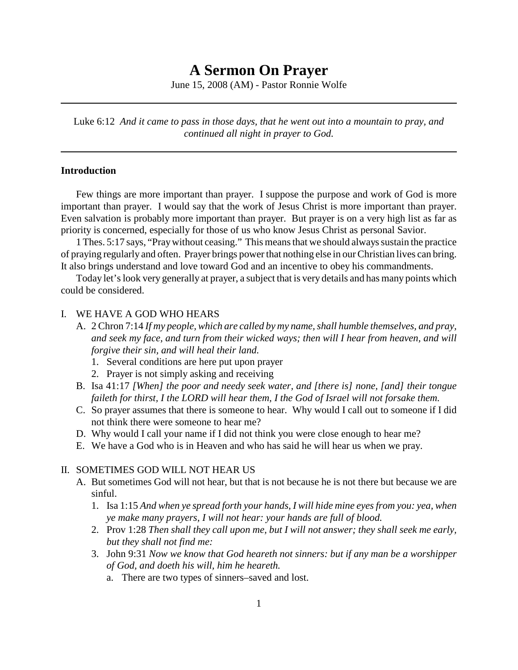# **A Sermon On Prayer**

June 15, 2008 (AM) - Pastor Ronnie Wolfe

Luke 6:12 *And it came to pass in those days, that he went out into a mountain to pray, and continued all night in prayer to God.*

#### **Introduction**

Few things are more important than prayer. I suppose the purpose and work of God is more important than prayer. I would say that the work of Jesus Christ is more important than prayer. Even salvation is probably more important than prayer. But prayer is on a very high list as far as priority is concerned, especially for those of us who know Jesus Christ as personal Savior.

1 Thes. 5:17 says, "Pray without ceasing." This means that we should always sustain the practice of praying regularly and often. Prayer brings power that nothing else in our Christian lives can bring. It also brings understand and love toward God and an incentive to obey his commandments.

Today let's look very generally at prayer, a subject that is very details and has many points which could be considered.

#### I. WE HAVE A GOD WHO HEARS

- A. 2 Chron 7:14 *If my people, which are called by my name, shall humble themselves, and pray, and seek my face, and turn from their wicked ways; then will I hear from heaven, and will forgive their sin, and will heal their land.*
	- 1. Several conditions are here put upon prayer
	- 2. Prayer is not simply asking and receiving
- B. Isa 41:17 *[When] the poor and needy seek water, and [there is] none, [and] their tongue faileth for thirst, I the LORD will hear them, I the God of Israel will not forsake them.*
- C. So prayer assumes that there is someone to hear. Why would I call out to someone if I did not think there were someone to hear me?
- D. Why would I call your name if I did not think you were close enough to hear me?
- E. We have a God who is in Heaven and who has said he will hear us when we pray.

#### II. SOMETIMES GOD WILL NOT HEAR US

- A. But sometimes God will not hear, but that is not because he is not there but because we are sinful.
	- 1. Isa 1:15 *And when ye spread forth your hands, I will hide mine eyes from you: yea, when ye make many prayers, I will not hear: your hands are full of blood.*
	- 2. Prov 1:28 *Then shall they call upon me, but I will not answer; they shall seek me early, but they shall not find me:*
	- 3. John 9:31 *Now we know that God heareth not sinners: but if any man be a worshipper of God, and doeth his will, him he heareth.*
		- a. There are two types of sinners–saved and lost.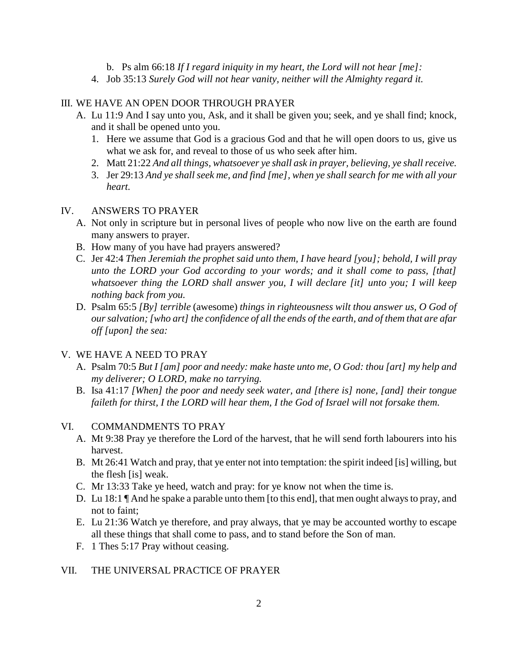- b. Ps alm 66:18 *If I regard iniquity in my heart, the Lord will not hear [me]:*
- 4. Job 35:13 *Surely God will not hear vanity, neither will the Almighty regard it.*

# III. WE HAVE AN OPEN DOOR THROUGH PRAYER

- A. Lu 11:9 And I say unto you, Ask, and it shall be given you; seek, and ye shall find; knock, and it shall be opened unto you.
	- 1. Here we assume that God is a gracious God and that he will open doors to us, give us what we ask for, and reveal to those of us who seek after him.
	- 2. Matt 21:22 *And all things, whatsoever ye shall ask in prayer, believing, ye shall receive.*
	- 3. Jer 29:13 *And ye shall seek me, and find [me], when ye shall search for me with all your heart.*

# IV. ANSWERS TO PRAYER

- A. Not only in scripture but in personal lives of people who now live on the earth are found many answers to prayer.
- B. How many of you have had prayers answered?
- C. Jer 42:4 *Then Jeremiah the prophet said unto them, I have heard [you]; behold, I will pray unto the LORD your God according to your words; and it shall come to pass, [that] whatsoever thing the LORD shall answer you, I will declare [it] unto you; I will keep nothing back from you.*
- D. Psalm 65:5 *[By] terrible* (awesome) *things in righteousness wilt thou answer us, O God of our salvation; [who art] the confidence of all the ends of the earth, and of them that are afar off [upon] the sea:*

# V. WE HAVE A NEED TO PRAY

- A. Psalm 70:5 *But I [am] poor and needy: make haste unto me, O God: thou [art] my help and my deliverer; O LORD, make no tarrying.*
- B. Isa 41:17 *[When] the poor and needy seek water, and [there is] none, [and] their tongue faileth for thirst, I the LORD will hear them, I the God of Israel will not forsake them.*

#### VI. COMMANDMENTS TO PRAY

- A. Mt 9:38 Pray ye therefore the Lord of the harvest, that he will send forth labourers into his harvest.
- B. Mt 26:41 Watch and pray, that ye enter not into temptation: the spirit indeed [is] willing, but the flesh [is] weak.
- C. Mr 13:33 Take ye heed, watch and pray: for ye know not when the time is.
- D. Lu 18:1 ¶ And he spake a parable unto them [to this end], that men ought always to pray, and not to faint;
- E. Lu 21:36 Watch ye therefore, and pray always, that ye may be accounted worthy to escape all these things that shall come to pass, and to stand before the Son of man.
- F. 1 Thes 5:17 Pray without ceasing.

# VII. THE UNIVERSAL PRACTICE OF PRAYER